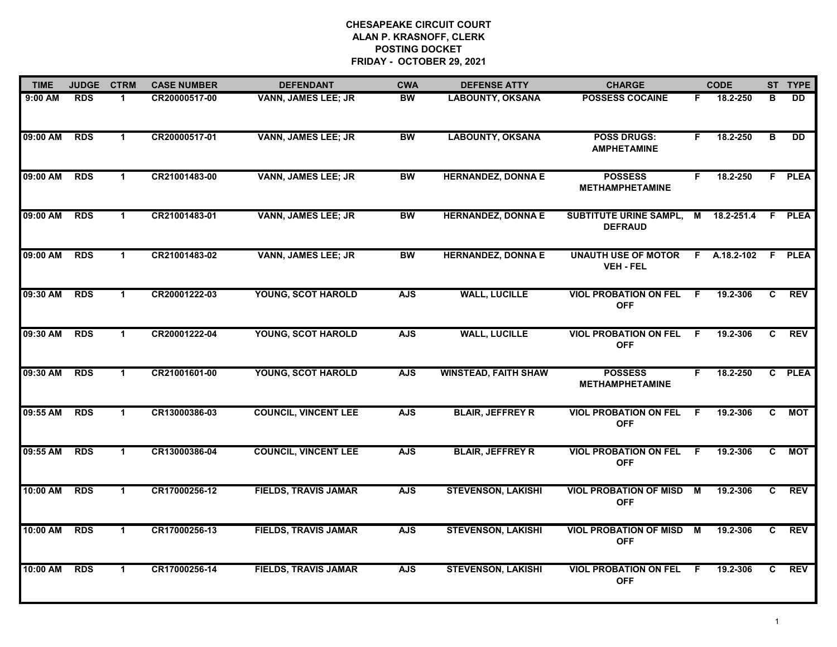| <b>TIME</b> | <b>JUDGE</b> | <b>CTRM</b>          | <b>CASE NUMBER</b> | <b>DEFENDANT</b>            | <b>CWA</b> | <b>DEFENSE ATTY</b>         | <b>CHARGE</b>                                   |     | <b>CODE</b>  |              | ST TYPE    |
|-------------|--------------|----------------------|--------------------|-----------------------------|------------|-----------------------------|-------------------------------------------------|-----|--------------|--------------|------------|
| $9:00$ AM   | <b>RDS</b>   | 1                    | CR20000517-00      | <b>VANN, JAMES LEE; JR</b>  | <b>BW</b>  | <b>LABOUNTY, OKSANA</b>     | <b>POSSESS COCAINE</b>                          | F.  | 18.2-250     | в            | DD.        |
| 09:00 AM    | <b>RDS</b>   | $\mathbf{1}$         | CR20000517-01      | <b>VANN, JAMES LEE; JR</b>  | <b>BW</b>  | <b>LABOUNTY, OKSANA</b>     | <b>POSS DRUGS:</b><br><b>AMPHETAMINE</b>        | F.  | 18.2-250     | B            | <b>DD</b>  |
| 09:00 AM    | <b>RDS</b>   | $\blacktriangleleft$ | CR21001483-00      | <b>VANN, JAMES LEE; JR</b>  | <b>BW</b>  | <b>HERNANDEZ, DONNA E</b>   | <b>POSSESS</b><br><b>METHAMPHETAMINE</b>        | F.  | 18.2-250     |              | F PLEA     |
| 09:00 AM    | <b>RDS</b>   | $\mathbf{1}$         | CR21001483-01      | <b>VANN, JAMES LEE; JR</b>  | <b>BW</b>  | <b>HERNANDEZ, DONNA E</b>   | <b>SUBTITUTE URINE SAMPL,</b><br><b>DEFRAUD</b> |     | M 18.2-251.4 |              | F PLEA     |
| 09:00 AM    | <b>RDS</b>   | $\mathbf{1}$         | CR21001483-02      | <b>VANN, JAMES LEE; JR</b>  | <b>BW</b>  | <b>HERNANDEZ, DONNA E</b>   | <b>UNAUTH USE OF MOTOR</b><br><b>VEH - FEL</b>  |     | F A.18.2-102 |              | F PLEA     |
| 09:30 AM    | <b>RDS</b>   | $\mathbf 1$          | CR20001222-03      | YOUNG, SCOT HAROLD          | <b>AJS</b> | <b>WALL, LUCILLE</b>        | <b>VIOL PROBATION ON FEL</b><br><b>OFF</b>      | - F | 19.2-306     | C            | <b>REV</b> |
| 09:30 AM    | <b>RDS</b>   | $\mathbf{1}$         | CR20001222-04      | YOUNG, SCOT HAROLD          | <b>AJS</b> | <b>WALL, LUCILLE</b>        | <b>VIOL PROBATION ON FEL</b><br><b>OFF</b>      | F.  | 19.2-306     | $\mathbf{c}$ | <b>REV</b> |
| 09:30 AM    | <b>RDS</b>   | $\mathbf 1$          | CR21001601-00      | YOUNG, SCOT HAROLD          | <b>AJS</b> | <b>WINSTEAD, FAITH SHAW</b> | <b>POSSESS</b><br><b>METHAMPHETAMINE</b>        | F.  | 18.2-250     |              | C PLEA     |
| 09:55 AM    | <b>RDS</b>   | 1                    | CR13000386-03      | <b>COUNCIL, VINCENT LEE</b> | <b>AJS</b> | <b>BLAIR, JEFFREY R</b>     | <b>VIOL PROBATION ON FEL</b><br><b>OFF</b>      | E   | 19.2-306     | C.           | МОТ        |
| 09:55 AM    | <b>RDS</b>   | $\mathbf{1}$         | CR13000386-04      | <b>COUNCIL, VINCENT LEE</b> | <b>AJS</b> | <b>BLAIR, JEFFREY R</b>     | <b>VIOL PROBATION ON FEL</b><br><b>OFF</b>      | E   | 19.2-306     | C.           | <b>MOT</b> |
| 10:00 AM    | <b>RDS</b>   | $\blacktriangleleft$ | CR17000256-12      | <b>FIELDS, TRAVIS JAMAR</b> | <b>AJS</b> | <b>STEVENSON, LAKISHI</b>   | <b>VIOL PROBATION OF MISD</b><br><b>OFF</b>     | M   | 19.2-306     | C.           | <b>REV</b> |
| 10:00 AM    | <b>RDS</b>   | $\blacktriangleleft$ | CR17000256-13      | <b>FIELDS, TRAVIS JAMAR</b> | <b>AJS</b> | <b>STEVENSON, LAKISHI</b>   | <b>VIOL PROBATION OF MISD M</b><br><b>OFF</b>   |     | 19.2-306     | $\mathbf{c}$ | <b>REV</b> |
| 10:00 AM    | <b>RDS</b>   | $\blacktriangleleft$ | CR17000256-14      | <b>FIELDS, TRAVIS JAMAR</b> | <b>AJS</b> | <b>STEVENSON, LAKISHI</b>   | <b>VIOL PROBATION ON FEL</b><br><b>OFF</b>      | E   | 19.2-306     | C.           | <b>REV</b> |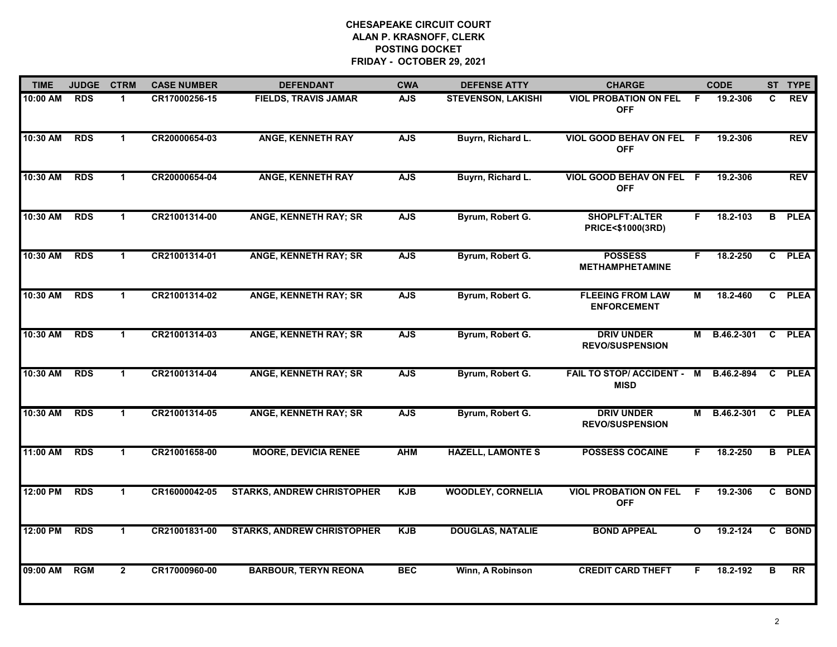| <b>TIME</b> | <b>JUDGE</b> | <b>CTRM</b>          | <b>CASE NUMBER</b> | <b>DEFENDANT</b>                  | <b>CWA</b> | <b>DEFENSE ATTY</b>       | <b>CHARGE</b>                                 |              | <b>CODE</b> |              | ST TYPE       |
|-------------|--------------|----------------------|--------------------|-----------------------------------|------------|---------------------------|-----------------------------------------------|--------------|-------------|--------------|---------------|
| 10:00 AM    | RDS          | 1                    | CR17000256-15      | <b>FIELDS, TRAVIS JAMAR</b>       | <b>AJS</b> | <b>STEVENSON, LAKISHI</b> | <b>VIOL PROBATION ON FEL</b><br><b>OFF</b>    | F.           | 19.2-306    | C.           | <b>REV</b>    |
| 10:30 AM    | <b>RDS</b>   | $\mathbf 1$          | CR20000654-03      | <b>ANGE, KENNETH RAY</b>          | <b>AJS</b> | Buyrn, Richard L.         | VIOL GOOD BEHAV ON FEL F<br><b>OFF</b>        |              | 19.2-306    |              | REV           |
| 10:30 AM    | <b>RDS</b>   | $\mathbf{1}$         | CR20000654-04      | <b>ANGE, KENNETH RAY</b>          | <b>AJS</b> | Buyrn, Richard L.         | VIOL GOOD BEHAV ON FEL F<br><b>OFF</b>        |              | 19.2-306    |              | <b>REV</b>    |
| 10:30 AM    | <b>RDS</b>   | $\blacktriangleleft$ | CR21001314-00      | <b>ANGE, KENNETH RAY; SR</b>      | <b>AJS</b> | Byrum, Robert G.          | SHOPLFT:ALTER<br><b>PRICE&lt;\$1000(3RD)</b>  | F.           | 18.2-103    |              | <b>B</b> PLEA |
| 10:30 AM    | <b>RDS</b>   | $\blacktriangleleft$ | CR21001314-01      | <b>ANGE, KENNETH RAY; SR</b>      | <b>AJS</b> | Byrum, Robert G.          | <b>POSSESS</b><br><b>METHAMPHETAMINE</b>      | F.           | 18.2-250    |              | C PLEA        |
| 10:30 AM    | <b>RDS</b>   | $\mathbf{1}$         | CR21001314-02      | <b>ANGE, KENNETH RAY; SR</b>      | <b>AJS</b> | Byrum, Robert G.          | <b>FLEEING FROM LAW</b><br><b>ENFORCEMENT</b> | М            | 18.2-460    |              | C PLEA        |
| 10:30 AM    | <b>RDS</b>   | $\blacktriangleleft$ | CR21001314-03      | <b>ANGE, KENNETH RAY; SR</b>      | <b>AJS</b> | Byrum, Robert G.          | <b>DRIV UNDER</b><br><b>REVO/SUSPENSION</b>   | М            | B.46.2-301  |              | C PLEA        |
| 10:30 AM    | <b>RDS</b>   | $\mathbf{1}$         | CR21001314-04      | <b>ANGE, KENNETH RAY; SR</b>      | <b>AJS</b> | Byrum, Robert G.          | FAIL TO STOP/ ACCIDENT - M<br><b>MISD</b>     |              | B.46.2-894  |              | C PLEA        |
| 10:30 AM    | <b>RDS</b>   | $\blacktriangleleft$ | CR21001314-05      | ANGE, KENNETH RAY; SR             | <b>AJS</b> | Byrum, Robert G.          | <b>DRIV UNDER</b><br><b>REVO/SUSPENSION</b>   | М            | B.46.2-301  |              | C PLEA        |
| 11:00 AM    | <b>RDS</b>   | $\mathbf 1$          | CR21001658-00      | <b>MOORE, DEVICIA RENEE</b>       | <b>AHM</b> | <b>HAZELL, LAMONTE S</b>  | <b>POSSESS COCAINE</b>                        | F.           | 18.2-250    |              | <b>B</b> PLEA |
| 12:00 PM    | <b>RDS</b>   | $\mathbf{1}$         | CR16000042-05      | <b>STARKS, ANDREW CHRISTOPHER</b> | <b>KJB</b> | <b>WOODLEY, CORNELIA</b>  | <b>VIOL PROBATION ON FEL</b><br><b>OFF</b>    | F.           | 19.2-306    |              | C BOND        |
| 12:00 PM    | <b>RDS</b>   | $\blacktriangleleft$ | CR21001831-00      | <b>STARKS, ANDREW CHRISTOPHER</b> | <b>KJB</b> | <b>DOUGLAS, NATALIE</b>   | <b>BOND APPEAL</b>                            | $\mathbf{o}$ | 19.2-124    | $\mathbf{c}$ | <b>BOND</b>   |
| 09:00 AM    | <b>RGM</b>   | $\overline{2}$       | CR17000960-00      | <b>BARBOUR, TERYN REONA</b>       | <b>BEC</b> | Winn, A Robinson          | <b>CREDIT CARD THEFT</b>                      | F.           | 18.2-192    | в            | RR            |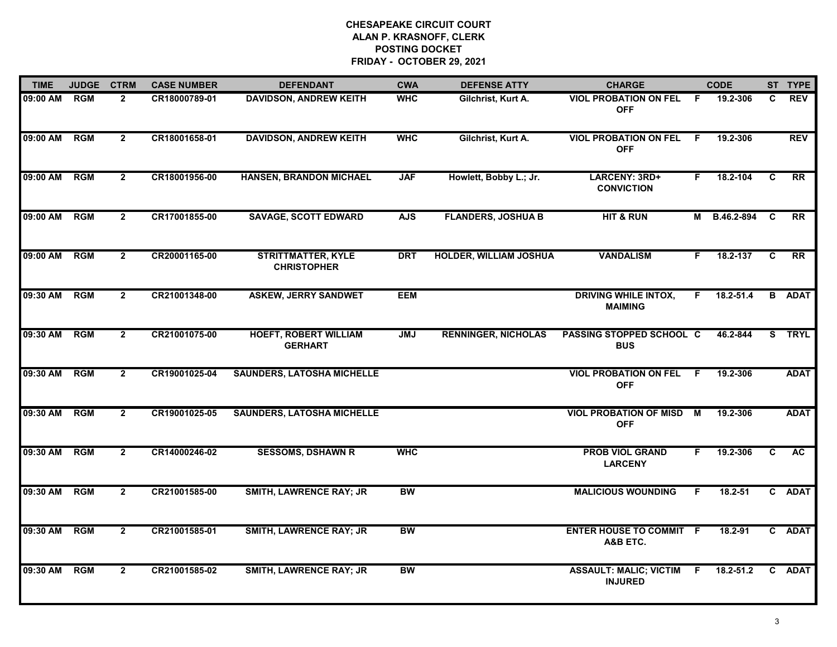| <b>TIME</b> | <b>JUDGE</b> | <b>CTRM</b>    | <b>CASE NUMBER</b> | <b>DEFENDANT</b>                                | <b>CWA</b> | <b>DEFENSE ATTY</b>           | <b>CHARGE</b>                                     |    | <b>CODE</b>   |              | ST TYPE     |
|-------------|--------------|----------------|--------------------|-------------------------------------------------|------------|-------------------------------|---------------------------------------------------|----|---------------|--------------|-------------|
| 09:00 AM    | <b>RGM</b>   | $\overline{2}$ | CR18000789-01      | <b>DAVIDSON, ANDREW KEITH</b>                   | <b>WHC</b> | Gilchrist, Kurt A.            | <b>VIOL PROBATION ON FEL</b><br><b>OFF</b>        | -F | 19.2-306      | C.           | <b>REV</b>  |
| 09:00 AM    | <b>RGM</b>   | $\mathbf{2}$   | CR18001658-01      | <b>DAVIDSON, ANDREW KEITH</b>                   | <b>WHC</b> | Gilchrist, Kurt A.            | <b>VIOL PROBATION ON FEL</b><br><b>OFF</b>        | -F | 19.2-306      |              | <b>REV</b>  |
| 09:00 AM    | <b>RGM</b>   | $\overline{2}$ | CR18001956-00      | <b>HANSEN, BRANDON MICHAEL</b>                  | <b>JAF</b> | Howlett, Bobby L.; Jr.        | LARCENY: 3RD+<br><b>CONVICTION</b>                | F. | 18.2-104      | C            | RR          |
| 09:00 AM    | <b>RGM</b>   | $\overline{2}$ | CR17001855-00      | <b>SAVAGE, SCOTT EDWARD</b>                     | <b>AJS</b> | <b>FLANDERS, JOSHUA B</b>     | <b>HIT &amp; RUN</b>                              | М  | B.46.2-894    | <b>C</b>     | <b>RR</b>   |
| 09:00 AM    | <b>RGM</b>   | $\overline{2}$ | CR20001165-00      | <b>STRITTMATTER, KYLE</b><br><b>CHRISTOPHER</b> | <b>DRT</b> | <b>HOLDER, WILLIAM JOSHUA</b> | <b>VANDALISM</b>                                  | F. | 18.2-137      | C            | RR          |
| 09:30 AM    | <b>RGM</b>   | $\overline{2}$ | CR21001348-00      | <b>ASKEW, JERRY SANDWET</b>                     | <b>EEM</b> |                               | <b>DRIVING WHILE INTOX,</b><br><b>MAIMING</b>     | F. | $18.2 - 51.4$ | B            | <b>ADAT</b> |
| 09:30 AM    | <b>RGM</b>   | $\overline{2}$ | CR21001075-00      | <b>HOEFT, ROBERT WILLIAM</b><br><b>GERHART</b>  | <b>JMJ</b> | <b>RENNINGER, NICHOLAS</b>    | PASSING STOPPED SCHOOL C<br><b>BUS</b>            |    | 46.2-844      |              | S TRYL      |
| 09:30 AM    | <b>RGM</b>   | $\overline{2}$ | CR19001025-04      | <b>SAUNDERS, LATOSHA MICHELLE</b>               |            |                               | <b>VIOL PROBATION ON FEL</b><br><b>OFF</b>        | -F | 19.2-306      |              | <b>ADAT</b> |
| 09:30 AM    | <b>RGM</b>   | $\overline{2}$ | CR19001025-05      | <b>SAUNDERS, LATOSHA MICHELLE</b>               |            |                               | <b>VIOL PROBATION OF MISD</b><br><b>OFF</b>       | M  | 19.2-306      |              | <b>ADAT</b> |
| 09:30 AM    | <b>RGM</b>   | $\overline{2}$ | CR14000246-02      | <b>SESSOMS, DSHAWN R</b>                        | <b>WHC</b> |                               | <b>PROB VIOL GRAND</b><br><b>LARCENY</b>          | F. | 19.2-306      | C.           | <b>AC</b>   |
| 09:30 AM    | <b>RGM</b>   | $\overline{2}$ | CR21001585-00      | <b>SMITH, LAWRENCE RAY; JR</b>                  | BW         |                               | <b>MALICIOUS WOUNDING</b>                         | F. | 18.2-51       |              | C ADAT      |
| 09:30 AM    | <b>RGM</b>   | $\overline{2}$ | CR21001585-01      | <b>SMITH, LAWRENCE RAY; JR</b>                  | <b>BW</b>  |                               | <b>ENTER HOUSE TO COMMIT F</b><br>A&B ETC.        |    | 18.2-91       |              | C ADAT      |
| 09:30 AM    | <b>RGM</b>   | $\overline{2}$ | CR21001585-02      | <b>SMITH, LAWRENCE RAY; JR</b>                  | <b>BW</b>  |                               | <b>ASSAULT: MALIC; VICTIM F</b><br><b>INJURED</b> |    | 18.2-51.2     | $\mathbf{c}$ | <b>ADAT</b> |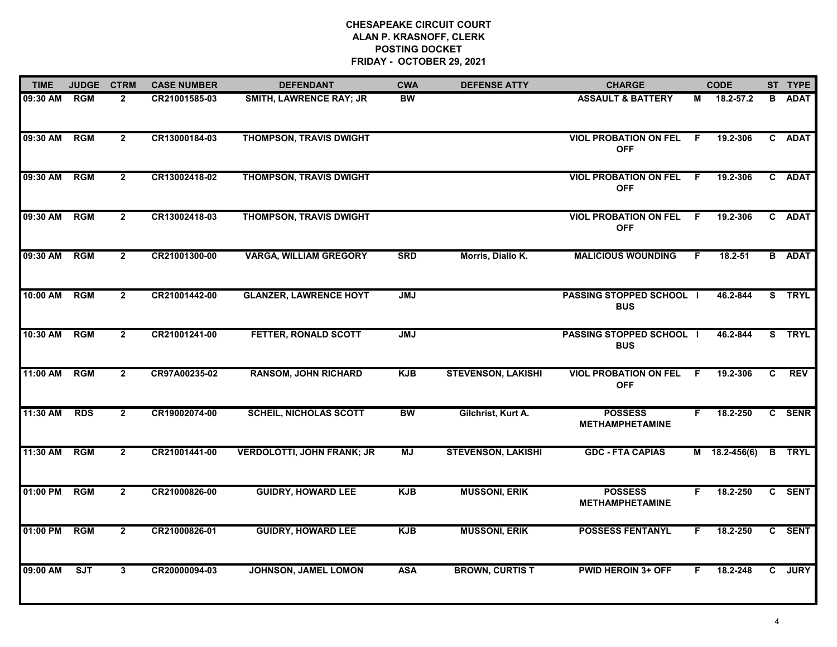| <b>TIME</b> | <b>JUDGE</b> | <b>CTRM</b>    | <b>CASE NUMBER</b> | <b>DEFENDANT</b>                  | <b>CWA</b> | <b>DEFENSE ATTY</b>       | <b>CHARGE</b>                                 |    | <b>CODE</b>     |              | ST TYPE       |
|-------------|--------------|----------------|--------------------|-----------------------------------|------------|---------------------------|-----------------------------------------------|----|-----------------|--------------|---------------|
| 09:30 AM    | <b>RGM</b>   | $\mathbf{2}$   | CR21001585-03      | <b>SMITH, LAWRENCE RAY; JR</b>    | <b>BW</b>  |                           | <b>ASSAULT &amp; BATTERY</b>                  | м  | 18.2-57.2       | B.           | <b>ADAT</b>   |
| 09:30 AM    | RGM          | $\overline{2}$ | CR13000184-03      | <b>THOMPSON, TRAVIS DWIGHT</b>    |            |                           | <b>VIOL PROBATION ON FEL</b><br><b>OFF</b>    | F. | 19.2-306        |              | C ADAT        |
| 09:30 AM    | <b>RGM</b>   | $2^{\circ}$    | CR13002418-02      | <b>THOMPSON, TRAVIS DWIGHT</b>    |            |                           | <b>VIOL PROBATION ON FEL</b><br><b>OFF</b>    | F. | 19.2-306        |              | C ADAT        |
| 09:30 AM    | <b>RGM</b>   | $\overline{2}$ | CR13002418-03      | <b>THOMPSON, TRAVIS DWIGHT</b>    |            |                           | <b>VIOL PROBATION ON FEL</b><br><b>OFF</b>    | -F | 19.2-306        |              | C ADAT        |
| 09:30 AM    | <b>RGM</b>   | $\overline{2}$ | CR21001300-00      | <b>VARGA, WILLIAM GREGORY</b>     | <b>SRD</b> | Morris, Diallo K.         | <b>MALICIOUS WOUNDING</b>                     | F. | $18.2 - 51$     |              | <b>B</b> ADAT |
| 10:00 AM    | <b>RGM</b>   | $\mathbf{2}$   | CR21001442-00      | <b>GLANZER, LAWRENCE HOYT</b>     | <b>JMJ</b> |                           | <b>PASSING STOPPED SCHOOL I</b><br><b>BUS</b> |    | 46.2-844        |              | S TRYL        |
| 10:30 AM    | <b>RGM</b>   | $\overline{2}$ | CR21001241-00      | FETTER, RONALD SCOTT              | <b>UML</b> |                           | <b>PASSING STOPPED SCHOOL I</b><br><b>BUS</b> |    | 46.2-844        |              | S TRYL        |
| 11:00 AM    | <b>RGM</b>   | $\overline{2}$ | CR97A00235-02      | <b>RANSOM, JOHN RICHARD</b>       | <b>KJB</b> | <b>STEVENSON, LAKISHI</b> | <b>VIOL PROBATION ON FEL</b><br><b>OFF</b>    | F  | 19.2-306        | $\mathbf{c}$ | <b>REV</b>    |
| 11:30 AM    | <b>RDS</b>   | $\overline{2}$ | CR19002074-00      | <b>SCHEIL, NICHOLAS SCOTT</b>     | <b>BW</b>  | Gilchrist, Kurt A.        | <b>POSSESS</b><br><b>METHAMPHETAMINE</b>      | F. | 18.2-250        |              | C SENR        |
| 11:30 AM    | <b>RGM</b>   | $\overline{2}$ | CR21001441-00      | <b>VERDOLOTTI, JOHN FRANK; JR</b> | <b>MJ</b>  | <b>STEVENSON, LAKISHI</b> | <b>GDC - FTA CAPIAS</b>                       |    | $M$ 18.2-456(6) | B            | <b>TRYL</b>   |
| 01:00 PM    | <b>RGM</b>   | $\overline{2}$ | CR21000826-00      | <b>GUIDRY, HOWARD LEE</b>         | <b>KJB</b> | <b>MUSSONI, ERIK</b>      | <b>POSSESS</b><br><b>METHAMPHETAMINE</b>      | F. | 18.2-250        |              | C SENT        |
| 01:00 PM    | <b>RGM</b>   | $\mathbf{2}$   | CR21000826-01      | <b>GUIDRY, HOWARD LEE</b>         | <b>KJB</b> | <b>MUSSONI, ERIK</b>      | <b>POSSESS FENTANYL</b>                       | F. | 18.2-250        |              | C SENT        |
| 09:00 AM    | ST           | $\mathbf{3}$   | CR20000094-03      | JOHNSON, JAMEL LOMON              | <b>ASA</b> | <b>BROWN, CURTIS T</b>    | <b>PWID HEROIN 3+ OFF</b>                     | F. | 18.2-248        | $\mathbf{c}$ | <b>JURY</b>   |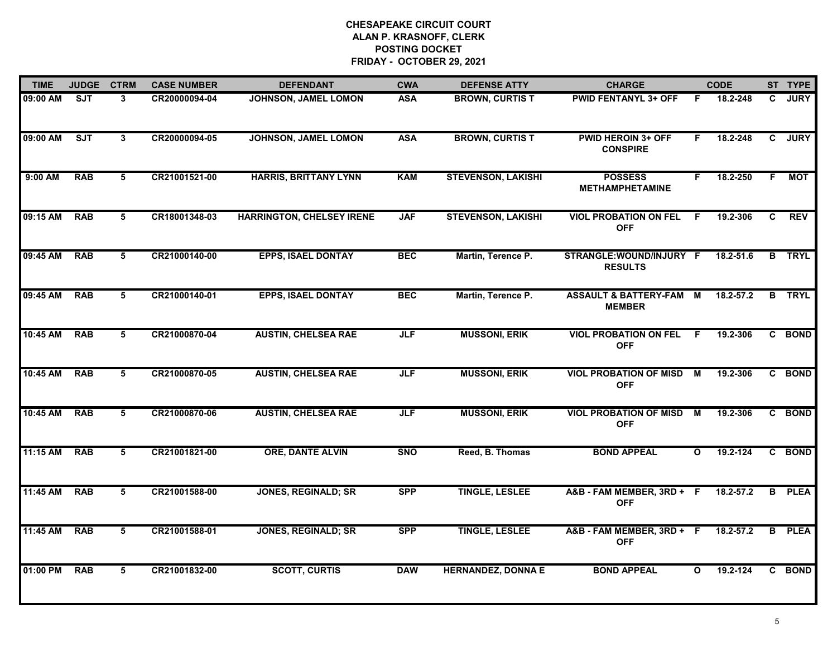| <b>TIME</b> | <b>JUDGE</b> | <b>CTRM</b>     | <b>CASE NUMBER</b> | <b>DEFENDANT</b>                 | <b>CWA</b> | <b>DEFENSE ATTY</b>       | <b>CHARGE</b>                                |              | <b>CODE</b>   |    | ST TYPE       |
|-------------|--------------|-----------------|--------------------|----------------------------------|------------|---------------------------|----------------------------------------------|--------------|---------------|----|---------------|
| 09:00 AM    | <b>SJT</b>   | $\mathbf{3}$    | CR20000094-04      | <b>JOHNSON, JAMEL LOMON</b>      | <b>ASA</b> | <b>BROWN, CURTIS T</b>    | <b>PWID FENTANYL 3+ OFF</b>                  | F.           | 18.2-248      | C  | <b>JURY</b>   |
| 09:00 AM    | ST           | $\mathbf{3}$    | CR20000094-05      | JOHNSON, JAMEL LOMON             | <b>ASA</b> | <b>BROWN, CURTIS T</b>    | <b>PWID HEROIN 3+ OFF</b><br><b>CONSPIRE</b> | F            | 18.2-248      |    | C JURY        |
| 9:00 AM     | <b>RAB</b>   | $\overline{5}$  | CR21001521-00      | <b>HARRIS, BRITTANY LYNN</b>     | <b>KAM</b> | <b>STEVENSON, LAKISHI</b> | <b>POSSESS</b><br><b>METHAMPHETAMINE</b>     | F.           | 18.2-250      | F. | <b>MOT</b>    |
| 09:15 AM    | <b>RAB</b>   | 5               | CR18001348-03      | <b>HARRINGTON, CHELSEY IRENE</b> | <b>JAF</b> | <b>STEVENSON, LAKISHI</b> | <b>VIOL PROBATION ON FEL</b><br><b>OFF</b>   | F.           | 19.2-306      | C. | <b>REV</b>    |
| 09:45 AM    | <b>RAB</b>   | 5               | CR21000140-00      | <b>EPPS, ISAEL DONTAY</b>        | <b>BEC</b> | Martin, Terence P.        | STRANGLE: WOUND/INJURY F<br><b>RESULTS</b>   |              | 18.2-51.6     |    | <b>B</b> TRYL |
| 09:45 AM    | <b>RAB</b>   | 5               | CR21000140-01      | <b>EPPS, ISAEL DONTAY</b>        | <b>BEC</b> | Martin, Terence P.        | ASSAULT & BATTERY-FAM M<br><b>MEMBER</b>     |              | 18.2-57.2     |    | <b>B</b> TRYL |
| 10:45 AM    | <b>RAB</b>   | $5\overline{5}$ | CR21000870-04      | <b>AUSTIN, CHELSEA RAE</b>       | JLF        | <b>MUSSONI, ERIK</b>      | <b>VIOL PROBATION ON FEL</b><br><b>OFF</b>   | F.           | 19.2-306      |    | C BOND        |
| 10:45 AM    | <b>RAB</b>   | 5               | CR21000870-05      | <b>AUSTIN, CHELSEA RAE</b>       | <b>JLF</b> | <b>MUSSONI, ERIK</b>      | <b>VIOL PROBATION OF MISD</b><br><b>OFF</b>  | M            | 19.2-306      |    | C BOND        |
| 10:45 AM    | <b>RAB</b>   | 5               | CR21000870-06      | <b>AUSTIN, CHELSEA RAE</b>       | <b>JLF</b> | <b>MUSSONI, ERIK</b>      | <b>VIOL PROBATION OF MISD</b><br><b>OFF</b>  | M            | 19.2-306      |    | C BOND        |
| 11:15 AM    | <b>RAB</b>   | 5               | CR21001821-00      | <b>ORE, DANTE ALVIN</b>          | <b>SNO</b> | Reed, B. Thomas           | <b>BOND APPEAL</b>                           | O            | 19.2-124      |    | C BOND        |
| 11:45 AM    | <b>RAB</b>   | 5               | CR21001588-00      | <b>JONES, REGINALD; SR</b>       | <b>SPP</b> | <b>TINGLE, LESLEE</b>     | A&B - FAM MEMBER, 3RD + F<br><b>OFF</b>      |              | $18.2 - 57.2$ |    | <b>B</b> PLEA |
| 11:45 AM    | <b>RAB</b>   | 5               | CR21001588-01      | <b>JONES, REGINALD; SR</b>       | <b>SPP</b> | <b>TINGLE, LESLEE</b>     | A&B - FAM MEMBER, 3RD + F<br><b>OFF</b>      |              | 18.2-57.2     | B  | <b>PLEA</b>   |
| 01:00 PM    | <b>RAB</b>   | 5               | CR21001832-00      | <b>SCOTT, CURTIS</b>             | <b>DAW</b> | <b>HERNANDEZ, DONNA E</b> | <b>BOND APPEAL</b>                           | $\mathbf{o}$ | 19.2-124      |    | C BOND        |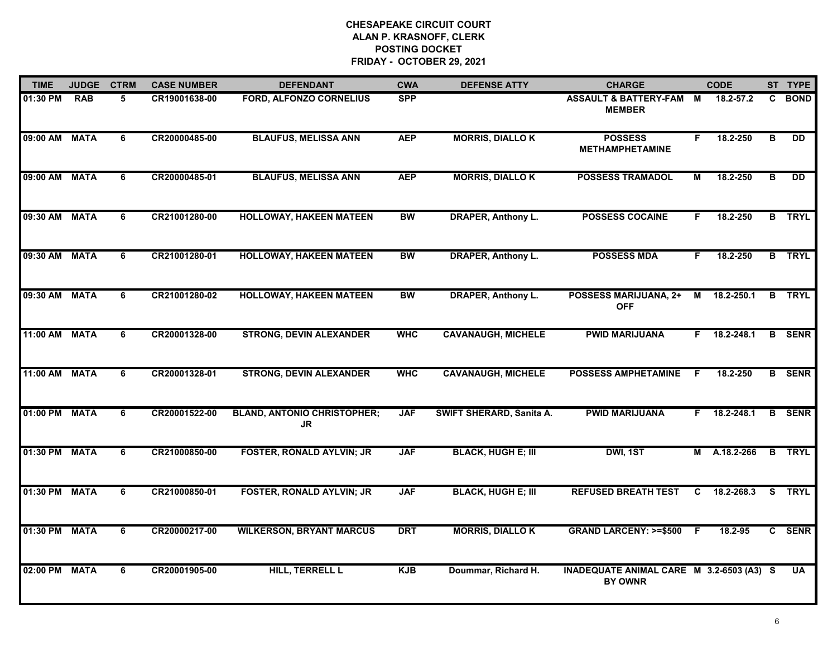| <b>TIME</b>   | <b>JUDGE</b> | <b>CTRM</b> | <b>CASE NUMBER</b> | <b>DEFENDANT</b>                                | <b>CWA</b> | <b>DEFENSE ATTY</b>             | <b>CHARGE</b>                                              |                | <b>CODE</b>        |    | ST TYPE       |
|---------------|--------------|-------------|--------------------|-------------------------------------------------|------------|---------------------------------|------------------------------------------------------------|----------------|--------------------|----|---------------|
| 01:30 PM      | <b>RAB</b>   | 5           | CR19001638-00      | <b>FORD, ALFONZO CORNELIUS</b>                  | <b>SPP</b> |                                 | ASSAULT & BATTERY-FAM M<br><b>MEMBER</b>                   |                | 18.2-57.2          | C  | <b>BOND</b>   |
| 09:00 AM      | <b>MATA</b>  | 6           | CR20000485-00      | <b>BLAUFUS, MELISSA ANN</b>                     | <b>AEP</b> | <b>MORRIS, DIALLO K</b>         | <b>POSSESS</b><br><b>METHAMPHETAMINE</b>                   | F              | 18.2-250           | B  | DD            |
| 09:00 AM      | <b>MATA</b>  | 6           | CR20000485-01      | <b>BLAUFUS, MELISSA ANN</b>                     | <b>AEP</b> | <b>MORRIS, DIALLO K</b>         | <b>POSSESS TRAMADOL</b>                                    | М              | 18.2-250           | в  | DD            |
| 09:30 AM      | <b>MATA</b>  | 6           | CR21001280-00      | <b>HOLLOWAY, HAKEEN MATEEN</b>                  | <b>BW</b>  | <b>DRAPER, Anthony L.</b>       | <b>POSSESS COCAINE</b>                                     | F.             | 18.2-250           |    | <b>B</b> TRYL |
| 09:30 AM      | <b>MATA</b>  | 6           | CR21001280-01      | <b>HOLLOWAY, HAKEEN MATEEN</b>                  | <b>BW</b>  | <b>DRAPER, Anthony L.</b>       | <b>POSSESS MDA</b>                                         | F.             | 18.2-250           |    | <b>B</b> TRYL |
| 09:30 AM      | <b>MATA</b>  | 6           | CR21001280-02      | <b>HOLLOWAY, HAKEEN MATEEN</b>                  | <b>BW</b>  | <b>DRAPER, Anthony L.</b>       | <b>POSSESS MARIJUANA, 2+</b><br><b>OFF</b>                 |                | M 18.2-250.1       | B  | <b>TRYL</b>   |
| 11:00 AM      | <b>MATA</b>  | 6           | CR20001328-00      | <b>STRONG, DEVIN ALEXANDER</b>                  | <b>WHC</b> | <b>CAVANAUGH, MICHELE</b>       | <b>PWID MARIJUANA</b>                                      |                | $F = 18.2 - 248.1$ | B  | <b>SENR</b>   |
| 11:00 AM      | <b>MATA</b>  | 6           | CR20001328-01      | <b>STRONG, DEVIN ALEXANDER</b>                  | <b>WHC</b> | <b>CAVANAUGH, MICHELE</b>       | <b>POSSESS AMPHETAMINE</b>                                 | F              | 18.2-250           |    | <b>B</b> SENR |
| 01:00 PM      | <b>MATA</b>  | 6           | CR20001522-00      | <b>BLAND, ANTONIO CHRISTOPHER;</b><br><b>JR</b> | <b>JAF</b> | <b>SWIFT SHERARD, Sanita A.</b> | <b>PWID MARIJUANA</b>                                      | F.             | 18.2-248.1         |    | <b>B</b> SENR |
| 01:30 PM      | <b>MATA</b>  | 6           | CR21000850-00      | <b>FOSTER, RONALD AYLVIN; JR</b>                | <b>JAF</b> | <b>BLACK, HUGH E; III</b>       | DWI, 1ST                                                   |                | M A.18.2-266       |    | <b>B</b> TRYL |
| 01:30 PM MATA |              | 6           | CR21000850-01      | <b>FOSTER, RONALD AYLVIN; JR</b>                | <b>JAF</b> | <b>BLACK, HUGH E; III</b>       | <b>REFUSED BREATH TEST</b>                                 |                | $C$ 18.2-268.3     | S. | <b>TRYL</b>   |
| 01:30 PM      | <b>MATA</b>  | 6           | CR20000217-00      | <b>WILKERSON, BRYANT MARCUS</b>                 | <b>DRT</b> | <b>MORRIS, DIALLO K</b>         | <b>GRAND LARCENY: &gt;=\$500</b>                           | $\overline{F}$ | 18.2-95            |    | C SENR        |
| 02:00 PM      | <b>MATA</b>  | 6           | CR20001905-00      | <b>HILL, TERRELL L</b>                          | <b>KJB</b> | Doummar, Richard H.             | INADEQUATE ANIMAL CARE M 3.2-6503 (A3) S<br><b>BY OWNR</b> |                |                    |    | <b>UA</b>     |